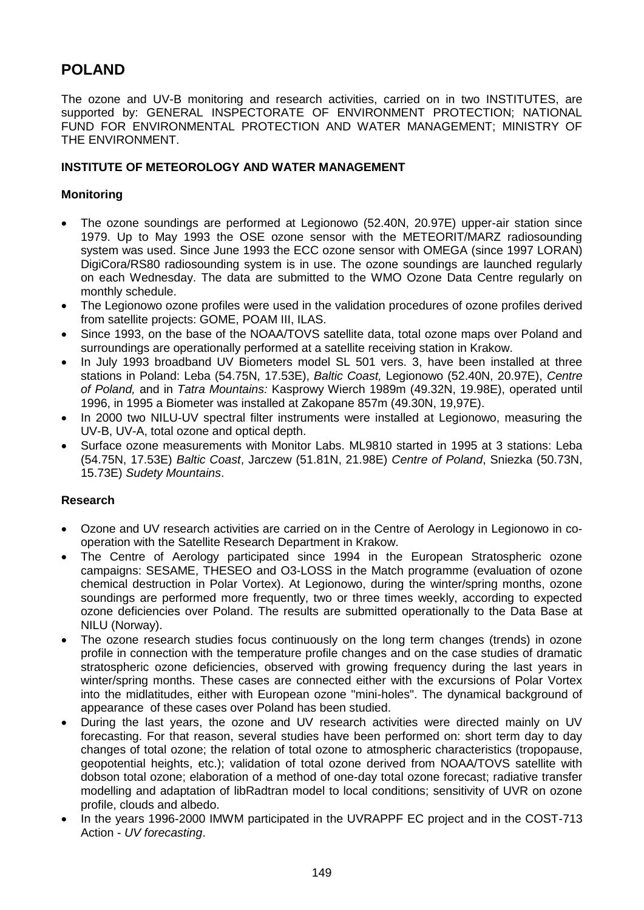# **POLAND**

The ozone and UV-B monitoring and research activities, carried on in two INSTITUTES, are supported by: GENERAL INSPECTORATE OF ENVIRONMENT PROTECTION; NATIONAL FUND FOR ENVIRONMENTAL PROTECTION AND WATER MANAGEMENT; MINISTRY OF THE ENVIRONMENT.

## **INSTITUTE OF METEOROLOGY AND WATER MANAGEMENT**

### **Monitoring**

- The ozone soundings are performed at Legionowo (52.40N, 20.97E) upper-air station since 1979. Up to May 1993 the OSE ozone sensor with the METEORIT/MARZ radiosounding system was used. Since June 1993 the ECC ozone sensor with OMEGA (since 1997 LORAN) DigiCora/RS80 radiosounding system is in use. The ozone soundings are launched regularly on each Wednesday. The data are submitted to the WMO Ozone Data Centre regularly on monthly schedule.
- The Legionowo ozone profiles were used in the validation procedures of ozone profiles derived from satellite projects: GOME, POAM III, ILAS.
- Since 1993, on the base of the NOAA/TOVS satellite data, total ozone maps over Poland and surroundings are operationally performed at a satellite receiving station in Krakow.
- In July 1993 broadband UV Biometers model SL 501 vers. 3, have been installed at three stations in Poland: Leba (54.75N, 17.53E), *Baltic Coast,* Legionowo (52.40N, 20.97E), *Centre of Poland,* and in *Tatra Mountains:* Kasprowy Wierch 1989m (49.32N, 19.98E), operated until 1996, in 1995 a Biometer was installed at Zakopane 857m (49.30N, 19,97E).
- In 2000 two NILU-UV spectral filter instruments were installed at Legionowo, measuring the UV-B, UV-A, total ozone and optical depth.
- Surface ozone measurements with Monitor Labs. ML9810 started in 1995 at 3 stations: Leba (54.75N, 17.53E) *Baltic Coast*, Jarczew (51.81N, 21.98E) *Centre of Poland*, Sniezka (50.73N, 15.73E) *Sudety Mountains*.

#### **Research**

- Ozone and UV research activities are carried on in the Centre of Aerology in Legionowo in cooperation with the Satellite Research Department in Krakow.
- The Centre of Aerology participated since 1994 in the European Stratospheric ozone campaigns: SESAME, THESEO and O3-LOSS in the Match programme (evaluation of ozone chemical destruction in Polar Vortex). At Legionowo, during the winter/spring months, ozone soundings are performed more frequently, two or three times weekly, according to expected ozone deficiencies over Poland. The results are submitted operationally to the Data Base at NILU (Norway).
- The ozone research studies focus continuously on the long term changes (trends) in ozone profile in connection with the temperature profile changes and on the case studies of dramatic stratospheric ozone deficiencies, observed with growing frequency during the last years in winter/spring months. These cases are connected either with the excursions of Polar Vortex into the midlatitudes, either with European ozone "mini-holes". The dynamical background of appearance of these cases over Poland has been studied.
- During the last years, the ozone and UV research activities were directed mainly on UV forecasting. For that reason, several studies have been performed on: short term day to day changes of total ozone; the relation of total ozone to atmospheric characteristics (tropopause, geopotential heights, etc.); validation of total ozone derived from NOAA/TOVS satellite with dobson total ozone; elaboration of a method of one-day total ozone forecast; radiative transfer modelling and adaptation of libRadtran model to local conditions; sensitivity of UVR on ozone profile, clouds and albedo.
- In the years 1996-2000 IMWM participated in the UVRAPPF EC project and in the COST-713 Action - *UV forecasting*.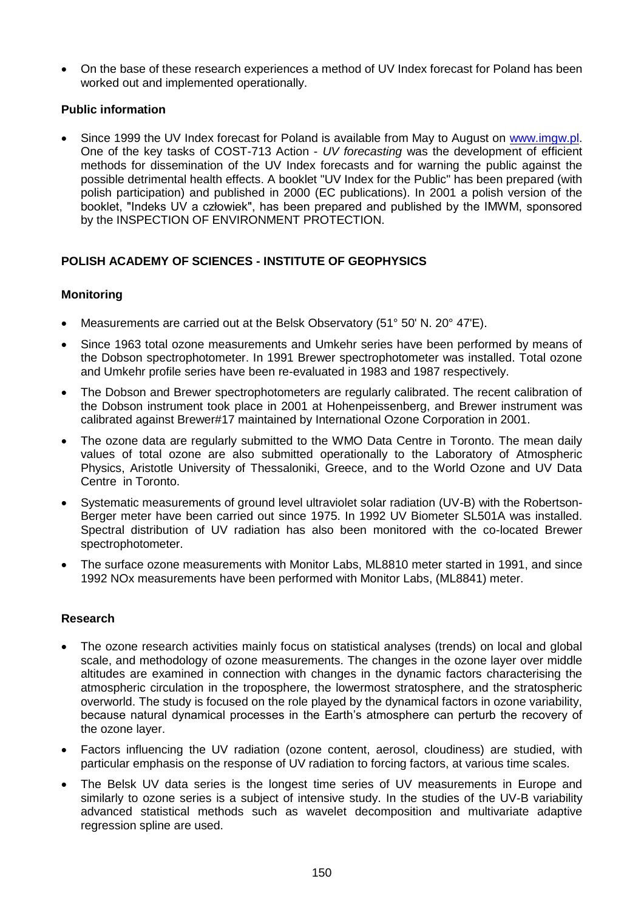On the base of these research experiences a method of UV Index forecast for Poland has been worked out and implemented operationally.

### **Public information**

 Since 1999 the UV Index forecast for Poland is available from May to August on [www.imgw.pl.](http://www.imgw.pl/) One of the key tasks of COST-713 Action - *UV forecasting* was the development of efficient methods for dissemination of the UV Index forecasts and for warning the public against the possible detrimental health effects. A booklet "UV Index for the Public" has been prepared (with polish participation) and published in 2000 (EC publications). In 2001 a polish version of the booklet, "Indeks UV a człowiek", has been prepared and published by the IMWM, sponsored by the INSPECTION OF ENVIRONMENT PROTECTION.

# **POLISH ACADEMY OF SCIENCES - INSTITUTE OF GEOPHYSICS**

## **Monitoring**

- Measurements are carried out at the Belsk Observatory (51° 50' N. 20° 47'E).
- Since 1963 total ozone measurements and Umkehr series have been performed by means of the Dobson spectrophotometer. In 1991 Brewer spectrophotometer was installed. Total ozone and Umkehr profile series have been re-evaluated in 1983 and 1987 respectively.
- The Dobson and Brewer spectrophotometers are regularly calibrated. The recent calibration of the Dobson instrument took place in 2001 at Hohenpeissenberg, and Brewer instrument was calibrated against Brewer#17 maintained by International Ozone Corporation in 2001.
- The ozone data are regularly submitted to the WMO Data Centre in Toronto. The mean daily values of total ozone are also submitted operationally to the Laboratory of Atmospheric Physics, Aristotle University of Thessaloniki, Greece, and to the World Ozone and UV Data Centre in Toronto.
- Systematic measurements of ground level ultraviolet solar radiation (UV-B) with the Robertson-Berger meter have been carried out since 1975. In 1992 UV Biometer SL501A was installed. Spectral distribution of UV radiation has also been monitored with the co-located Brewer spectrophotometer.
- The surface ozone measurements with Monitor Labs, ML8810 meter started in 1991, and since 1992 NOx measurements have been performed with Monitor Labs, (ML8841) meter.

#### **Research**

- The ozone research activities mainly focus on statistical analyses (trends) on local and global scale, and methodology of ozone measurements. The changes in the ozone layer over middle altitudes are examined in connection with changes in the dynamic factors characterising the atmospheric circulation in the troposphere, the lowermost stratosphere, and the stratospheric overworld. The study is focused on the role played by the dynamical factors in ozone variability, because natural dynamical processes in the Earth's atmosphere can perturb the recovery of the ozone layer.
- Factors influencing the UV radiation (ozone content, aerosol, cloudiness) are studied, with particular emphasis on the response of UV radiation to forcing factors, at various time scales.
- The Belsk UV data series is the longest time series of UV measurements in Europe and similarly to ozone series is a subject of intensive study. In the studies of the UV-B variability advanced statistical methods such as wavelet decomposition and multivariate adaptive regression spline are used.